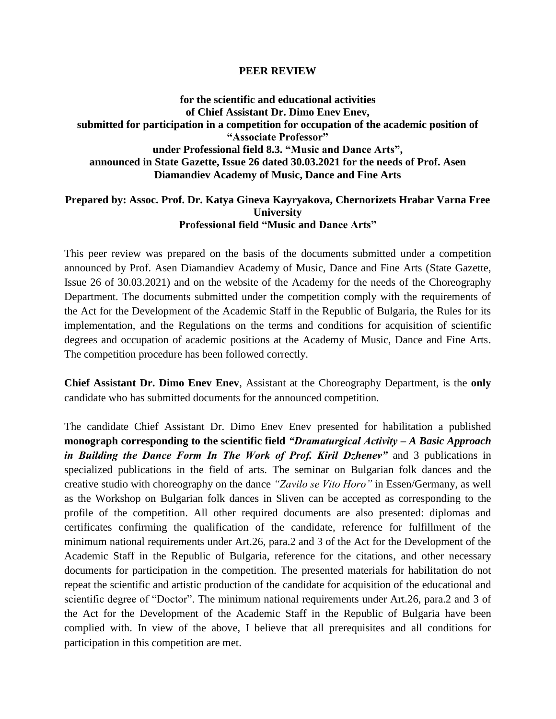## **PEER REVIEW**

**for the scientific and educational activities of Chief Assistant Dr. Dimo Enev Enev, submitted for participation in a competition for occupation of the academic position of "Associate Professor" under Professional field 8.3. "Music and Dance Arts", announced in State Gazette, Issue 26 dated 30.03.2021 for the needs of Prof. Asen Diamandiev Academy of Music, Dance and Fine Arts**

## **Prepared by: Assoc. Prof. Dr. Katya Gineva Kayryakova, Chernorizets Hrabar Varna Free University Professional field "Music and Dance Arts"**

This peer review was prepared on the basis of the documents submitted under a competition announced by Prof. Asen Diamandiev Academy of Music, Dance and Fine Arts (State Gazette, Issue 26 of 30.03.2021) and on the website of the Academy for the needs of the Choreography Department. The documents submitted under the competition comply with the requirements of the Act for the Development of the Academic Staff in the Republic of Bulgaria, the Rules for its implementation, and the Regulations on the terms and conditions for acquisition of scientific degrees and occupation of academic positions at the Academy of Music, Dance and Fine Arts. The competition procedure has been followed correctly.

**Chief Assistant Dr. Dimo Enev Enev**, Assistant at the Choreography Department, is the **only** candidate who has submitted documents for the announced competition.

The candidate Chief Assistant Dr. Dimo Enev Enev presented for habilitation a published **monograph corresponding to the scientific field** *"Dramaturgical Activity – A Basic Approach in Building the Dance Form In The Work of Prof. Kiril Dzhenev"* and 3 publications in specialized publications in the field of arts. The seminar on Bulgarian folk dances and the creative studio with choreography on the dance *"Zavilo se Vito Horo"* in Essen/Germany, as well as the Workshop on Bulgarian folk dances in Sliven can be accepted as corresponding to the profile of the competition. All other required documents are also presented: diplomas and certificates confirming the qualification of the candidate, reference for fulfillment of the minimum national requirements under Art.26, para.2 and 3 of the Act for the Development of the Academic Staff in the Republic of Bulgaria, reference for the citations, and other necessary documents for participation in the competition. The presented materials for habilitation do not repeat the scientific and artistic production of the candidate for acquisition of the educational and scientific degree of "Doctor". The minimum national requirements under Art.26, para.2 and 3 of the Act for the Development of the Academic Staff in the Republic of Bulgaria have been complied with. In view of the above, I believe that all prerequisites and all conditions for participation in this competition are met.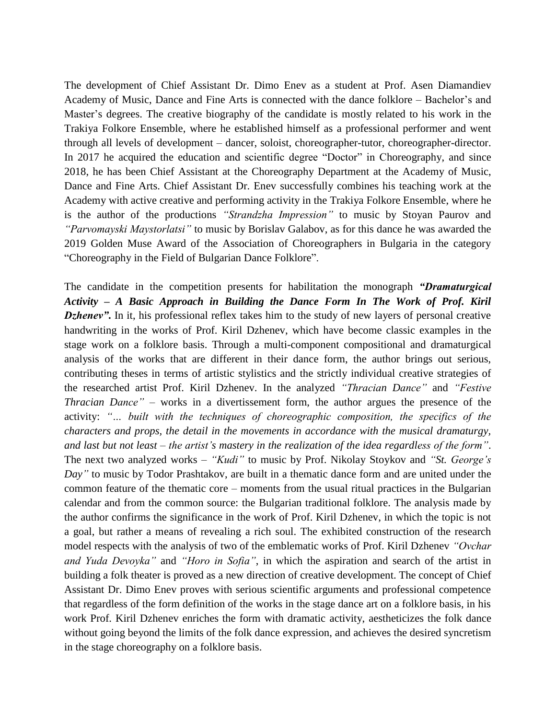The development of Chief Assistant Dr. Dimo Enev as a student at Prof. Asen Diamandiev Academy of Music, Dance and Fine Arts is connected with the dance folklore – Bachelor's and Master's degrees. The creative biography of the candidate is mostly related to his work in the Trakiya Folkore Ensemble, where he established himself as a professional performer and went through all levels of development – dancer, soloist, choreographer-tutor, choreographer-director. In 2017 he acquired the education and scientific degree "Doctor" in Choreography, and since 2018, he has been Chief Assistant at the Choreography Department at the Academy of Music, Dance and Fine Arts. Chief Assistant Dr. Enev successfully combines his teaching work at the Academy with active creative and performing activity in the Trakiya Folkore Ensemble, where he is the author of the productions *"Strandzha Impression"* to music by Stoyan Paurov and *"Parvomayski Maystorlatsi"* to music by Borislav Galabov, as for this dance he was awarded the 2019 Golden Muse Award of the Association of Choreographers in Bulgaria in the category "Choreography in the Field of Bulgarian Dance Folklore".

The candidate in the competition presents for habilitation the monograph *"Dramaturgical Activity – A Basic Approach in Building the Dance Form In The Work of Prof. Kiril Dzhenev*. In it, his professional reflex takes him to the study of new layers of personal creative handwriting in the works of Prof. Kiril Dzhenev, which have become classic examples in the stage work on a folklore basis. Through a multi-component compositional and dramaturgical analysis of the works that are different in their dance form, the author brings out serious, contributing theses in terms of artistic stylistics and the strictly individual creative strategies of the researched artist Prof. Kiril Dzhenev. In the analyzed *"Thracian Dance"* and *"Festive Thracian Dance"* – works in a divertissement form, the author argues the presence of the activity: *"… built with the techniques of choreographic composition, the specifics of the characters and props, the detail in the movements in accordance with the musical dramaturgy, and last but not least – the artist's mastery in the realization of the idea regardless of the form"*. The next two analyzed works – *"Kudi"* to music by Prof. Nikolay Stoykov and *"St. George's Day"* to music by Todor Prashtakov, are built in a thematic dance form and are united under the common feature of the thematic core – moments from the usual ritual practices in the Bulgarian calendar and from the common source: the Bulgarian traditional folklore. The analysis made by the author confirms the significance in the work of Prof. Kiril Dzhenev, in which the topic is not a goal, but rather a means of revealing a rich soul. The exhibited construction of the research model respects with the analysis of two of the emblematic works of Prof. Kiril Dzhenev *"Ovchar and Yuda Devoyka"* and *"Horo in Sofia"*, in which the aspiration and search of the artist in building a folk theater is proved as a new direction of creative development. The concept of Chief Assistant Dr. Dimo Enev proves with serious scientific arguments and professional competence that regardless of the form definition of the works in the stage dance art on a folklore basis, in his work Prof. Kiril Dzhenev enriches the form with dramatic activity, aestheticizes the folk dance without going beyond the limits of the folk dance expression, and achieves the desired syncretism in the stage choreography on a folklore basis.